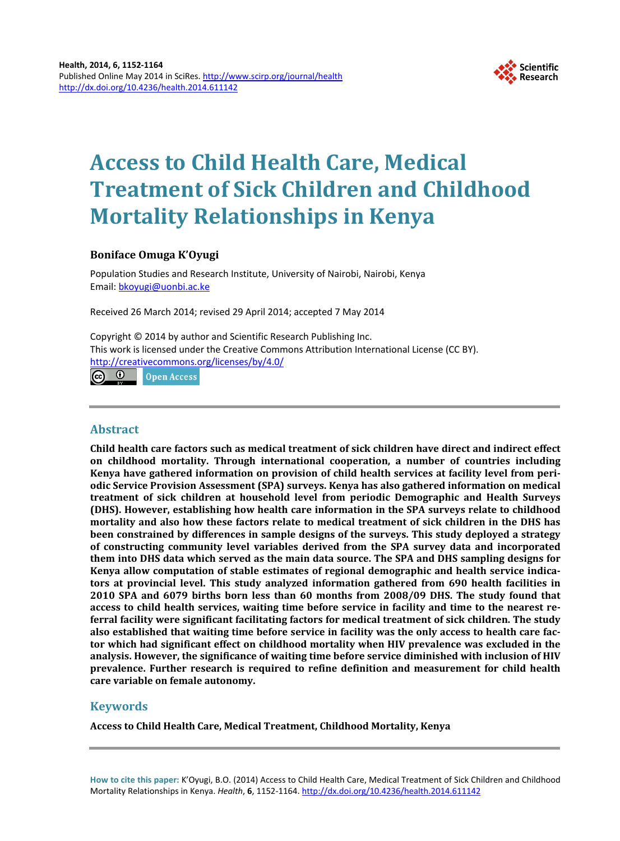

# **Access to Child Health Care, Medical Treatment of Sick Children and Childhood Mortality Relationships in Kenya**

# **Boniface Omuga K'Oyugi**

Population Studies and Research Institute, University of Nairobi, Nairobi, Kenya Email: [bkoyugi@uonbi.ac.ke](mailto:bkoyugi@uonbi.ac.ke)

Received 26 March 2014; revised 29 April 2014; accepted 7 May 2014

Copyright © 2014 by author and Scientific Research Publishing Inc. This work is licensed under the Creative Commons Attribution International License (CC BY). <http://creativecommons.org/licenses/by/4.0/>

 $\odot$   $\odot$ **Open Access** 

# **Abstract**

**Child health care factors such as medical treatment of sick children have direct and indirect effect on childhood mortality. Through international cooperation, a number of countries including Kenya have gathered information on provision of child health services at facility level from periodic Service Provision Assessment (SPA) surveys. Kenya has also gathered information on medical treatment of sick children at household level from periodic Demographic and Health Surveys (DHS). However, establishing how health care information in the SPA surveys relate to childhood mortality and also how these factors relate to medical treatment of sick children in the DHS has been constrained by differences in sample designs of the surveys. This study deployed a strategy of constructing community level variables derived from the SPA survey data and incorporated them into DHS data which served as the main data source. The SPA and DHS sampling designs for Kenya allow computation of stable estimates of regional demographic and health service indicators at provincial level. This study analyzed information gathered from 690 health facilities in 2010 SPA and 6079 births born less than 60 months from 2008/09 DHS. The study found that access to child health services, waiting time before service in facility and time to the nearest referral facility were significant facilitating factors for medical treatment of sick children. The study also established that waiting time before service in facility was the only access to health care factor which had significant effect on childhood mortality when HIV prevalence was excluded in the analysis. However, the significance of waiting time before service diminished with inclusion of HIV prevalence. Further research is required to refine definition and measurement for child health care variable on female autonomy.**

# **Keywords**

**Access to Child Health Care, Medical Treatment, Childhood Mortality, Kenya**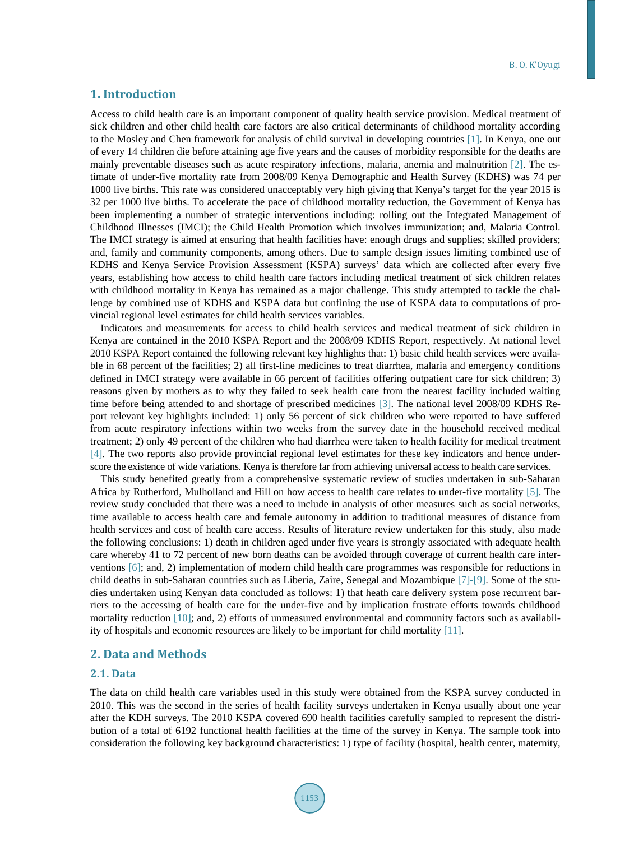# **1. Introduction**

Access to child health care is an important component of quality health service provision. Medical treatment of sick children and other child health care factors are also critical determinants of childhood mortality according to the Mosley and Chen framework for analysis of child survival in developing countries [\[1\].](#page-11-0) In Kenya, one out of every 14 children die before attaining age five years and the causes of morbidity responsible for the deaths are mainly preventable diseases such as acute respiratory infections, malaria, anemia and malnutrition [\[2\].](#page-11-1) The estimate of under-five mortality rate from 2008/09 Kenya Demographic and Health Survey (KDHS) was 74 per 1000 live births. This rate was considered unacceptably very high giving that Kenya's target for the year 2015 is 32 per 1000 live births. To accelerate the pace of childhood mortality reduction, the Government of Kenya has been implementing a number of strategic interventions including: rolling out the Integrated Management of Childhood Illnesses (IMCI); the Child Health Promotion which involves immunization; and, Malaria Control. The IMCI strategy is aimed at ensuring that health facilities have: enough drugs and supplies; skilled providers; and, family and community components, among others. Due to sample design issues limiting combined use of KDHS and Kenya Service Provision Assessment (KSPA) surveys' data which are collected after every five years, establishing how access to child health care factors including medical treatment of sick children relates with childhood mortality in Kenya has remained as a major challenge. This study attempted to tackle the challenge by combined use of KDHS and KSPA data but confining the use of KSPA data to computations of provincial regional level estimates for child health services variables.

Indicators and measurements for access to child health services and medical treatment of sick children in Kenya are contained in the 2010 KSPA Report and the 2008/09 KDHS Report, respectively. At national level 2010 KSPA Report contained the following relevant key highlights that: 1) basic child health services were available in 68 percent of the facilities; 2) all first-line medicines to treat diarrhea, malaria and emergency conditions defined in IMCI strategy were available in 66 percent of facilities offering outpatient care for sick children; 3) reasons given by mothers as to why they failed to seek health care from the nearest facility included waiting time before being attended to and shortage of prescribed medicines [\[3\].](#page-11-2) The national level 2008/09 KDHS Report relevant key highlights included: 1) only 56 percent of sick children who were reported to have suffered from acute respiratory infections within two weeks from the survey date in the household received medical treatment; 2) only 49 percent of the children who had diarrhea were taken to health facility for medical treatment [\[4\].](#page-11-3) The two reports also provide provincial regional level estimates for these key indicators and hence underscore the existence of wide variations. Kenya is therefore far from achieving universal access to health care services.

This study benefited greatly from a comprehensive systematic review of studies undertaken in sub-Saharan Africa by Rutherford, Mulholland and Hill on how access to health care relates to under-five mortality [\[5\].](#page-11-4) The review study concluded that there was a need to include in analysis of other measures such as social networks, time available to access health care and female autonomy in addition to traditional measures of distance from health services and cost of health care access. Results of literature review undertaken for this study, also made the following conclusions: 1) death in children aged under five years is strongly associated with adequate health care whereby 41 to 72 percent of new born deaths can be avoided through coverage of current health care interventions [\[6\];](#page-11-5) and, 2) implementation of modern child health care programmes was responsible for reductions in child deaths in sub-Saharan countries such as Liberia, Zaire, Senegal and Mozambique [\[7\]-](#page-11-6)[\[9\].](#page-11-7) Some of the studies undertaken using Kenyan data concluded as follows: 1) that heath care delivery system pose recurrent barriers to the accessing of health care for the under-five and by implication frustrate efforts towards childhood mortality reduction [\[10\];](#page-11-8) and, 2) efforts of unmeasured environmental and community factors such as availability of hospitals and economic resources are likely to be important for child mortality [\[11\].](#page-11-9)

# **2. Data and Methods**

# **2.1. Data**

The data on child health care variables used in this study were obtained from the KSPA survey conducted in 2010. This was the second in the series of health facility surveys undertaken in Kenya usually about one year after the KDH surveys. The 2010 KSPA covered 690 health facilities carefully sampled to represent the distribution of a total of 6192 functional health facilities at the time of the survey in Kenya. The sample took into consideration the following key background characteristics: 1) type of facility (hospital, health center, maternity,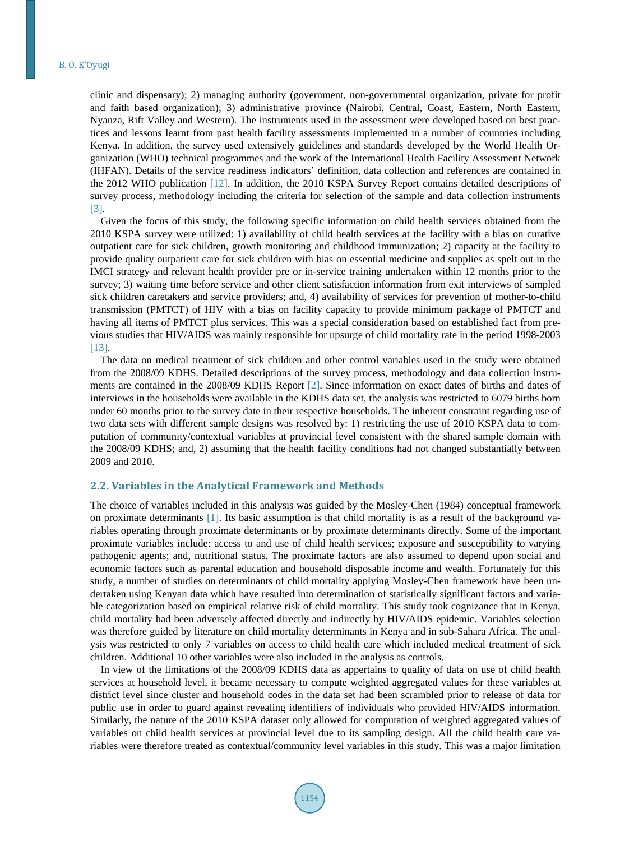clinic and dispensary); 2) managing authority (government, non-governmental organization, private for profit and faith based organization); 3) administrative province (Nairobi, Central, Coast, Eastern, North Eastern, Nyanza, Rift Valley and Western). The instruments used in the assessment were developed based on best practices and lessons learnt from past health facility assessments implemented in a number of countries including Kenya. In addition, the survey used extensively guidelines and standards developed by the World Health Organization (WHO) technical programmes and the work of the International Health Facility Assessment Network (IHFAN). Details of the service readiness indicators' definition, data collection and references are contained in the 2012 WHO publication [\[12\].](#page-11-10) In addition, the 2010 KSPA Survey Report contains detailed descriptions of survey process, methodology including the criteria for selection of the sample and data collection instruments [\[3\].](#page-11-2)

Given the focus of this study, the following specific information on child health services obtained from the 2010 KSPA survey were utilized: 1) availability of child health services at the facility with a bias on curative outpatient care for sick children, growth monitoring and childhood immunization; 2) capacity at the facility to provide quality outpatient care for sick children with bias on essential medicine and supplies as spelt out in the IMCI strategy and relevant health provider pre or in-service training undertaken within 12 months prior to the survey; 3) waiting time before service and other client satisfaction information from exit interviews of sampled sick children caretakers and service providers; and, 4) availability of services for prevention of mother-to-child transmission (PMTCT) of HIV with a bias on facility capacity to provide minimum package of PMTCT and having all items of PMTCT plus services. This was a special consideration based on established fact from previous studies that HIV/AIDS was mainly responsible for upsurge of child mortality rate in the period 1998-2003 [13].

The data on medical treatment of sick children and other control variables used in the study were obtained from the 2008/09 KDHS. Detailed descriptions of the survey process, methodology and data collection instruments are contained in the 2008/09 KDHS Report [\[2\].](#page-11-1) Since information on exact dates of births and dates of interviews in the households were available in the KDHS data set, the analysis was restricted to 6079 births born under 60 months prior to the survey date in their respective households. The inherent constraint regarding use of two data sets with different sample designs was resolved by: 1) restricting the use of 2010 KSPA data to computation of community/contextual variables at provincial level consistent with the shared sample domain with the 2008/09 KDHS; and, 2) assuming that the health facility conditions had not changed substantially between 2009 and 2010.

# **2.2. Variables in the Analytical Framework and Methods**

The choice of variables included in this analysis was guided by the Mosley-Chen (1984) conceptual framework on proximate determinants [\[1\].](#page-11-0) Its basic assumption is that child mortality is as a result of the background variables operating through proximate determinants or by proximate determinants directly. Some of the important proximate variables include: access to and use of child health services; exposure and susceptibility to varying pathogenic agents; and, nutritional status. The proximate factors are also assumed to depend upon social and economic factors such as parental education and household disposable income and wealth. Fortunately for this study, a number of studies on determinants of child mortality applying Mosley-Chen framework have been undertaken using Kenyan data which have resulted into determination of statistically significant factors and variable categorization based on empirical relative risk of child mortality. This study took cognizance that in Kenya, child mortality had been adversely affected directly and indirectly by HIV/AIDS epidemic. Variables selection was therefore guided by literature on child mortality determinants in Kenya and in sub-Sahara Africa. The analysis was restricted to only 7 variables on access to child health care which included medical treatment of sick children. Additional 10 other variables were also included in the analysis as controls.

In view of the limitations of the 2008/09 KDHS data as appertains to quality of data on use of child health services at household level, it became necessary to compute weighted aggregated values for these variables at district level since cluster and household codes in the data set had been scrambled prior to release of data for public use in order to guard against revealing identifiers of individuals who provided HIV/AIDS information. Similarly, the nature of the 2010 KSPA dataset only allowed for computation of weighted aggregated values of variables on child health services at provincial level due to its sampling design. All the child health care variables were therefore treated as contextual/community level variables in this study. This was a major limitation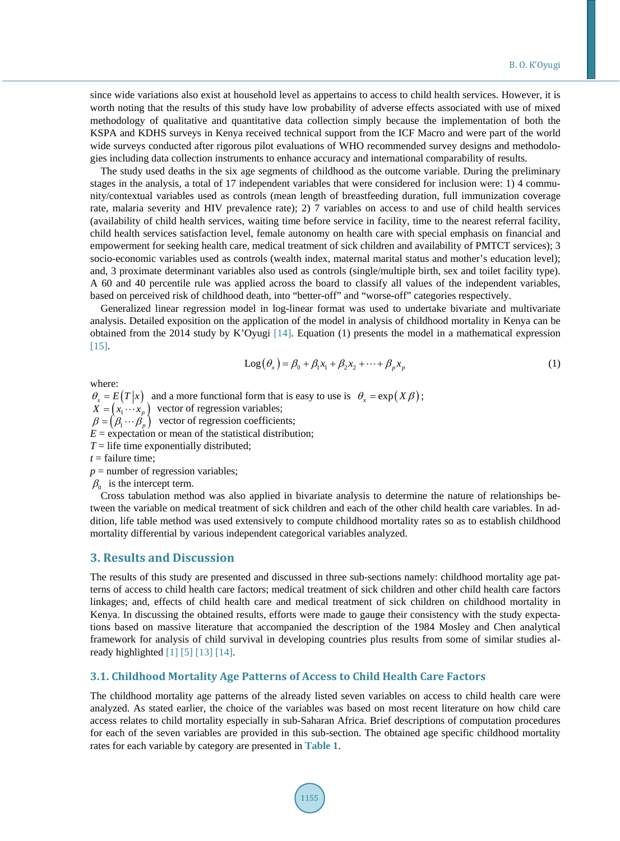since wide variations also exist at household level as appertains to access to child health services. However, it is worth noting that the results of this study have low probability of adverse effects associated with use of mixed methodology of qualitative and quantitative data collection simply because the implementation of both the KSPA and KDHS surveys in Kenya received technical support from the ICF Macro and were part of the world wide surveys conducted after rigorous pilot evaluations of WHO recommended survey designs and methodologies including data collection instruments to enhance accuracy and international comparability of results.

The study used deaths in the six age segments of childhood as the outcome variable. During the preliminary stages in the analysis, a total of 17 independent variables that were considered for inclusion were: 1) 4 community/contextual variables used as controls (mean length of breastfeeding duration, full immunization coverage rate, malaria severity and HIV prevalence rate); 2) 7 variables on access to and use of child health services (availability of child health services, waiting time before service in facility, time to the nearest referral facility, child health services satisfaction level, female autonomy on health care with special emphasis on financial and empowerment for seeking health care, medical treatment of sick children and availability of PMTCT services); 3 socio-economic variables used as controls (wealth index, maternal marital status and mother's education level); and, 3 proximate determinant variables also used as controls (single/multiple birth, sex and toilet facility type). A 60 and 40 percentile rule was applied across the board to classify all values of the independent variables, based on perceived risk of childhood death, into "better-off" and "worse-off" categories respectively.

Generalized linear regression model in log-linear format was used to undertake bivariate and multivariate analysis. Detailed exposition on the application of the model in analysis of childhood mortality in Kenya can be obtained from the 2014 study by K'Oyugi [\[14\].](#page-11-12) Equation (1) presents the model in a mathematical expression [\[15\].](#page-12-0) 

$$
Log(\theta_x) = \beta_0 + \beta_1 x_1 + \beta_2 x_2 + \dots + \beta_p x_p
$$
 (1)

where:

 $\theta_r = E(T|x)$  and a more functional form that is easy to use is  $\theta_r = \exp(X\beta)$ ;  $\hat{X} = (x_1 \cdots x_p)$  vector of regression variables;  $\beta = (\beta_1 \cdots \beta_n)$  vector of regression coefficients;  $E =$  expectation or mean of the statistical distribution;  $T =$  life time exponentially distributed;  $t =$  failure time;

 $p =$  number of regression variables;

 $\beta_0$  is the intercept term.

Cross tabulation method was also applied in bivariate analysis to determine the nature of relationships between the variable on medical treatment of sick children and each of the other child health care variables. In addition, life table method was used extensively to compute childhood mortality rates so as to establish childhood mortality differential by various independent categorical variables analyzed.

## **3. Results and Discussion**

The results of this study are presented and discussed in three sub-sections namely: childhood mortality age patterns of access to child health care factors; medical treatment of sick children and other child health care factors linkages; and, effects of child health care and medical treatment of sick children on childhood mortality in Kenya. In discussing the obtained results, efforts were made to gauge their consistency with the study expectations based on massive literature that accompanied the description of the 1984 Mosley and Chen analytical framework for analysis of child survival in developing countries plus results from some of similar studies already highlighted [\[1\]](#page-11-0) [\[5\]](#page-11-4) [\[13\]](#page-11-11) [\[14\].](#page-11-12)

# **3.1. Childhood Mortality Age Patterns of Access to Child Health Care Factors**

The childhood mortality age patterns of the already listed seven variables on access to child health care were analyzed. As stated earlier, the choice of the variables was based on most recent literature on how child care access relates to child mortality especially in sub-Saharan Africa. Brief descriptions of computation procedures for each of the seven variables are provided in this sub-section. The obtained age specific childhood mortality rates for each variable by category are presented in **[Table 1](#page-4-0)**.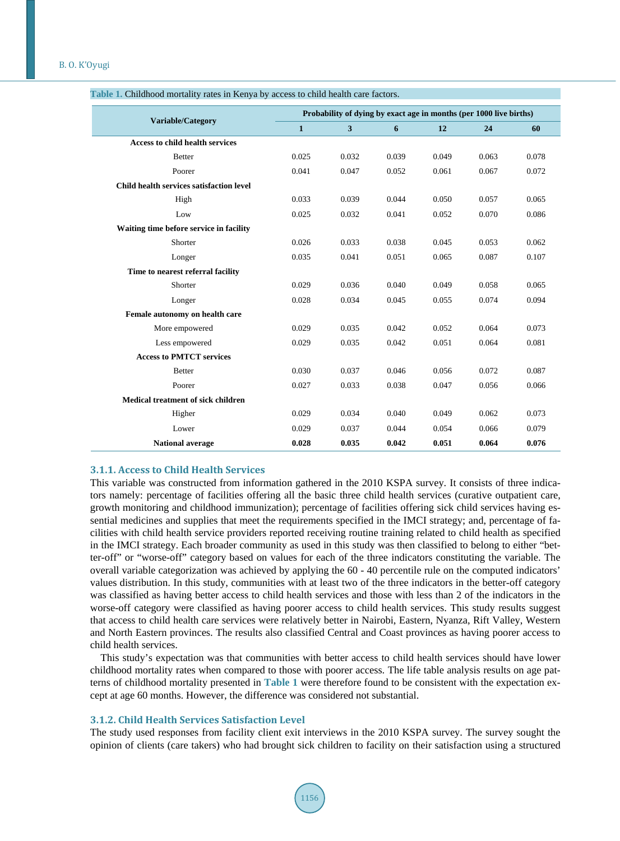| Variable/Category                        | Probability of dying by exact age in months (per 1000 live births) |       |       |       |       |       |  |  |
|------------------------------------------|--------------------------------------------------------------------|-------|-------|-------|-------|-------|--|--|
|                                          | $\mathbf{1}$                                                       | 3     | 6     | 12    | 24    | 60    |  |  |
| <b>Access to child health services</b>   |                                                                    |       |       |       |       |       |  |  |
| <b>Better</b>                            | 0.025                                                              | 0.032 | 0.039 | 0.049 | 0.063 | 0.078 |  |  |
| Poorer                                   | 0.041                                                              | 0.047 | 0.052 | 0.061 | 0.067 | 0.072 |  |  |
| Child health services satisfaction level |                                                                    |       |       |       |       |       |  |  |
| High                                     | 0.033                                                              | 0.039 | 0.044 | 0.050 | 0.057 | 0.065 |  |  |
| Low                                      | 0.025                                                              | 0.032 | 0.041 | 0.052 | 0.070 | 0.086 |  |  |
| Waiting time before service in facility  |                                                                    |       |       |       |       |       |  |  |
| Shorter                                  | 0.026                                                              | 0.033 | 0.038 | 0.045 | 0.053 | 0.062 |  |  |
| Longer                                   | 0.035                                                              | 0.041 | 0.051 | 0.065 | 0.087 | 0.107 |  |  |
| Time to nearest referral facility        |                                                                    |       |       |       |       |       |  |  |
| Shorter                                  | 0.029                                                              | 0.036 | 0.040 | 0.049 | 0.058 | 0.065 |  |  |
| Longer                                   | 0.028                                                              | 0.034 | 0.045 | 0.055 | 0.074 | 0.094 |  |  |
| Female autonomy on health care           |                                                                    |       |       |       |       |       |  |  |
| More empowered                           | 0.029                                                              | 0.035 | 0.042 | 0.052 | 0.064 | 0.073 |  |  |
| Less empowered                           | 0.029                                                              | 0.035 | 0.042 | 0.051 | 0.064 | 0.081 |  |  |
| <b>Access to PMTCT services</b>          |                                                                    |       |       |       |       |       |  |  |
| <b>Better</b>                            | 0.030                                                              | 0.037 | 0.046 | 0.056 | 0.072 | 0.087 |  |  |
| Poorer                                   | 0.027                                                              | 0.033 | 0.038 | 0.047 | 0.056 | 0.066 |  |  |
| Medical treatment of sick children       |                                                                    |       |       |       |       |       |  |  |
| Higher                                   | 0.029                                                              | 0.034 | 0.040 | 0.049 | 0.062 | 0.073 |  |  |
| Lower                                    | 0.029                                                              | 0.037 | 0.044 | 0.054 | 0.066 | 0.079 |  |  |
| <b>National average</b>                  | 0.028                                                              | 0.035 | 0.042 | 0.051 | 0.064 | 0.076 |  |  |

<span id="page-4-0"></span>

#### **3.1.1. Access to Child Health Services**

This variable was constructed from information gathered in the 2010 KSPA survey. It consists of three indicators namely: percentage of facilities offering all the basic three child health services (curative outpatient care, growth monitoring and childhood immunization); percentage of facilities offering sick child services having essential medicines and supplies that meet the requirements specified in the IMCI strategy; and, percentage of facilities with child health service providers reported receiving routine training related to child health as specified in the IMCI strategy. Each broader community as used in this study was then classified to belong to either "better-off" or "worse-off" category based on values for each of the three indicators constituting the variable. The overall variable categorization was achieved by applying the 60 - 40 percentile rule on the computed indicators' values distribution. In this study, communities with at least two of the three indicators in the better-off category was classified as having better access to child health services and those with less than 2 of the indicators in the worse-off category were classified as having poorer access to child health services. This study results suggest that access to child health care services were relatively better in Nairobi, Eastern, Nyanza, Rift Valley, Western and North Eastern provinces. The results also classified Central and Coast provinces as having poorer access to child health services.

This study's expectation was that communities with better access to child health services should have lower childhood mortality rates when compared to those with poorer access. The life table analysis results on age patterns of childhood mortality presented in **[Table 1](#page-4-0)** were therefore found to be consistent with the expectation except at age 60 months. However, the difference was considered not substantial.

#### **3.1.2. Child Health Services Satisfaction Level**

The study used responses from facility client exit interviews in the 2010 KSPA survey. The survey sought the opinion of clients (care takers) who had brought sick children to facility on their satisfaction using a structured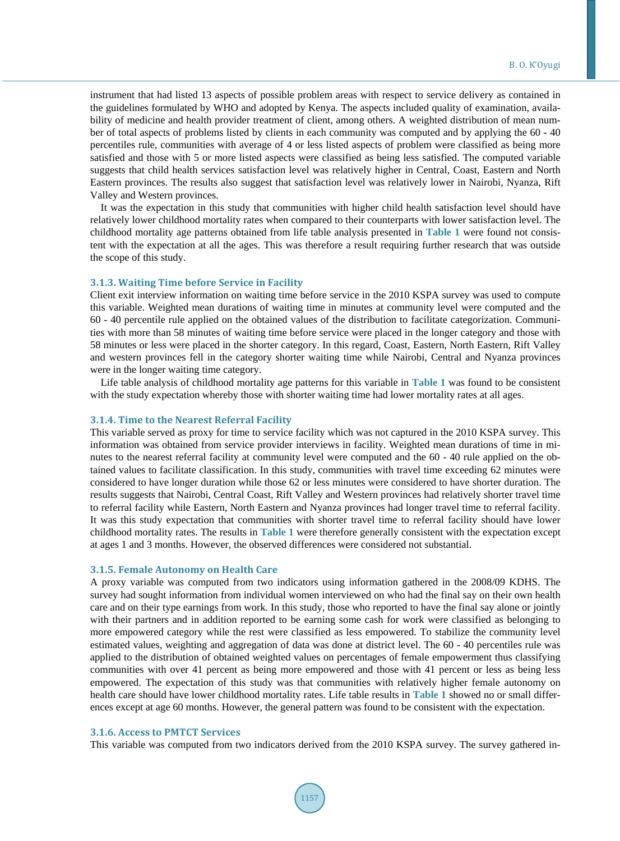instrument that had listed 13 aspects of possible problem areas with respect to service delivery as contained in the guidelines formulated by WHO and adopted by Kenya. The aspects included quality of examination, availability of medicine and health provider treatment of client, among others. A weighted distribution of mean number of total aspects of problems listed by clients in each community was computed and by applying the 60 - 40 percentiles rule, communities with average of 4 or less listed aspects of problem were classified as being more satisfied and those with 5 or more listed aspects were classified as being less satisfied. The computed variable suggests that child health services satisfaction level was relatively higher in Central, Coast, Eastern and North Eastern provinces. The results also suggest that satisfaction level was relatively lower in Nairobi, Nyanza, Rift Valley and Western provinces.

It was the expectation in this study that communities with higher child health satisfaction level should have relatively lower childhood mortality rates when compared to their counterparts with lower satisfaction level. The childhood mortality age patterns obtained from life table analysis presented in **[Table 1](#page-4-0)** were found not consistent with the expectation at all the ages. This was therefore a result requiring further research that was outside the scope of this study.

#### **3.1.3. Waiting Time before Service in Facility**

Client exit interview information on waiting time before service in the 2010 KSPA survey was used to compute this variable. Weighted mean durations of waiting time in minutes at community level were computed and the 60 - 40 percentile rule applied on the obtained values of the distribution to facilitate categorization. Communities with more than 58 minutes of waiting time before service were placed in the longer category and those with 58 minutes or less were placed in the shorter category. In this regard, Coast, Eastern, North Eastern, Rift Valley and western provinces fell in the category shorter waiting time while Nairobi, Central and Nyanza provinces were in the longer waiting time category.

Life table analysis of childhood mortality age patterns for this variable in **[Table 1](#page-4-0)** was found to be consistent with the study expectation whereby those with shorter waiting time had lower mortality rates at all ages.

#### **3.1.4. Time to the Nearest Referral Facility**

This variable served as proxy for time to service facility which was not captured in the 2010 KSPA survey. This information was obtained from service provider interviews in facility. Weighted mean durations of time in minutes to the nearest referral facility at community level were computed and the 60 - 40 rule applied on the obtained values to facilitate classification. In this study, communities with travel time exceeding 62 minutes were considered to have longer duration while those 62 or less minutes were considered to have shorter duration. The results suggests that Nairobi, Central Coast, Rift Valley and Western provinces had relatively shorter travel time to referral facility while Eastern, North Eastern and Nyanza provinces had longer travel time to referral facility. It was this study expectation that communities with shorter travel time to referral facility should have lower childhood mortality rates. The results in **[Table 1](#page-4-0)** were therefore generally consistent with the expectation except at ages 1 and 3 months. However, the observed differences were considered not substantial.

## **3.1.5. Female Autonomy on Health Care**

A proxy variable was computed from two indicators using information gathered in the 2008/09 KDHS. The survey had sought information from individual women interviewed on who had the final say on their own health care and on their type earnings from work. In this study, those who reported to have the final say alone or jointly with their partners and in addition reported to be earning some cash for work were classified as belonging to more empowered category while the rest were classified as less empowered. To stabilize the community level estimated values, weighting and aggregation of data was done at district level. The 60 - 40 percentiles rule was applied to the distribution of obtained weighted values on percentages of female empowerment thus classifying communities with over 41 percent as being more empowered and those with 41 percent or less as being less empowered. The expectation of this study was that communities with relatively higher female autonomy on health care should have lower childhood mortality rates. Life table results in **[Table 1](#page-4-0)** showed no or small differences except at age 60 months. However, the general pattern was found to be consistent with the expectation.

#### **3.1.6. Access to PMTCT Services**

This variable was computed from two indicators derived from the 2010 KSPA survey. The survey gathered in-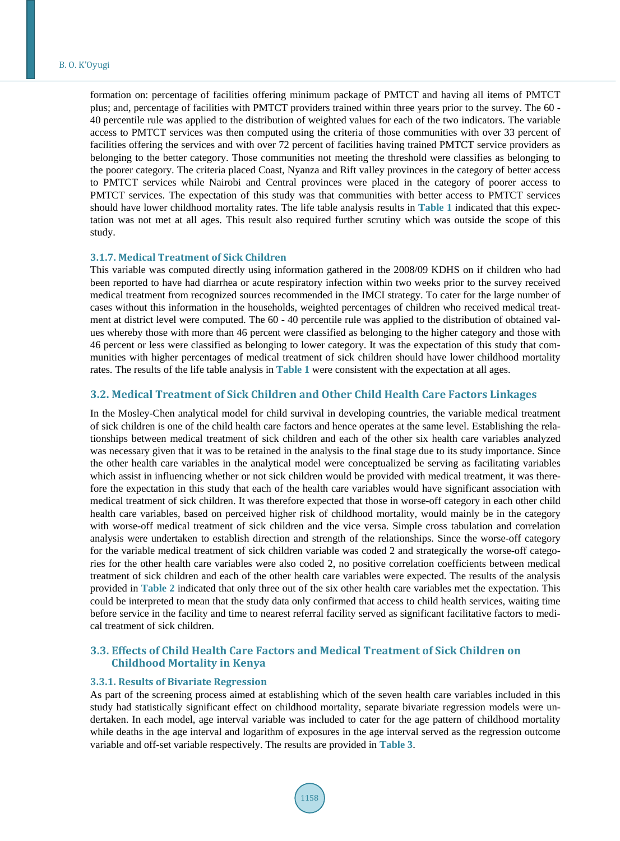formation on: percentage of facilities offering minimum package of PMTCT and having all items of PMTCT plus; and, percentage of facilities with PMTCT providers trained within three years prior to the survey. The 60 - 40 percentile rule was applied to the distribution of weighted values for each of the two indicators. The variable access to PMTCT services was then computed using the criteria of those communities with over 33 percent of facilities offering the services and with over 72 percent of facilities having trained PMTCT service providers as belonging to the better category. Those communities not meeting the threshold were classifies as belonging to the poorer category. The criteria placed Coast, Nyanza and Rift valley provinces in the category of better access to PMTCT services while Nairobi and Central provinces were placed in the category of poorer access to PMTCT services. The expectation of this study was that communities with better access to PMTCT services should have lower childhood mortality rates. The life table analysis results in **[Table 1](#page-4-0)** indicated that this expectation was not met at all ages. This result also required further scrutiny which was outside the scope of this study.

#### **3.1.7. Medical Treatment of Sick Children**

This variable was computed directly using information gathered in the 2008/09 KDHS on if children who had been reported to have had diarrhea or acute respiratory infection within two weeks prior to the survey received medical treatment from recognized sources recommended in the IMCI strategy. To cater for the large number of cases without this information in the households, weighted percentages of children who received medical treatment at district level were computed. The 60 - 40 percentile rule was applied to the distribution of obtained values whereby those with more than 46 percent were classified as belonging to the higher category and those with 46 percent or less were classified as belonging to lower category. It was the expectation of this study that communities with higher percentages of medical treatment of sick children should have lower childhood mortality rates. The results of the life table analysis in **[Table 1](#page-4-0)** were consistent with the expectation at all ages.

#### **3.2. Medical Treatment of Sick Children and Other Child Health Care Factors Linkages**

In the Mosley-Chen analytical model for child survival in developing countries, the variable medical treatment of sick children is one of the child health care factors and hence operates at the same level. Establishing the relationships between medical treatment of sick children and each of the other six health care variables analyzed was necessary given that it was to be retained in the analysis to the final stage due to its study importance. Since the other health care variables in the analytical model were conceptualized be serving as facilitating variables which assist in influencing whether or not sick children would be provided with medical treatment, it was therefore the expectation in this study that each of the health care variables would have significant association with medical treatment of sick children. It was therefore expected that those in worse-off category in each other child health care variables, based on perceived higher risk of childhood mortality, would mainly be in the category with worse-off medical treatment of sick children and the vice versa. Simple cross tabulation and correlation analysis were undertaken to establish direction and strength of the relationships. Since the worse-off category for the variable medical treatment of sick children variable was coded 2 and strategically the worse-off categories for the other health care variables were also coded 2, no positive correlation coefficients between medical treatment of sick children and each of the other health care variables were expected. The results of the analysis provided in **[Table 2](#page-7-0)** indicated that only three out of the six other health care variables met the expectation. This could be interpreted to mean that the study data only confirmed that access to child health services, waiting time before service in the facility and time to nearest referral facility served as significant facilitative factors to medical treatment of sick children.

# **3.3. Effects of Child Health Care Factors and Medical Treatment of Sick Children on Childhood Mortality in Kenya**

## **3.3.1. Results of Bivariate Regression**

As part of the screening process aimed at establishing which of the seven health care variables included in this study had statistically significant effect on childhood mortality, separate bivariate regression models were undertaken. In each model, age interval variable was included to cater for the age pattern of childhood mortality while deaths in the age interval and logarithm of exposures in the age interval served as the regression outcome variable and off-set variable respectively. The results are provided in **[Table](#page-7-1) 3**.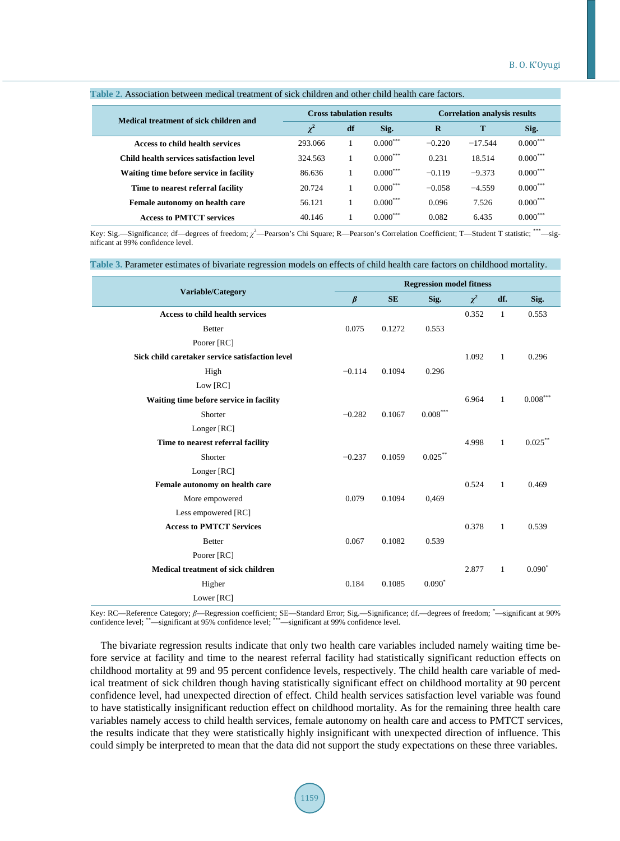| Medical treatment of sick children and   |          |    | <b>Cross tabulation results</b> | <b>Correlation analysis results</b> |           |            |  |
|------------------------------------------|----------|----|---------------------------------|-------------------------------------|-----------|------------|--|
|                                          | $\chi^2$ | df | Sig.                            | $\bf{R}$                            | т         | Sig.       |  |
| Access to child health services          | 293.066  |    | $0.000***$                      | $-0.220$                            | $-17.544$ | $0.000***$ |  |
| Child health services satisfaction level | 324.563  |    | $0.000***$                      | 0.231                               | 18.514    | $0.000***$ |  |
| Waiting time before service in facility  | 86.636   |    | $0.000***$                      | $-0.119$                            | $-9.373$  | $0.000***$ |  |
| Time to nearest referral facility        | 20.724   |    | $0.000***$                      | $-0.058$                            | $-4.559$  | $0.000***$ |  |
| Female autonomy on health care           | 56.121   |    | $0.000***$                      | 0.096                               | 7.526     | $0.000***$ |  |
| <b>Access to PMTCT services</b>          | 40.146   |    | $0.000***$                      | 0.082                               | 6.435     | $0.000***$ |  |

#### <span id="page-7-0"></span>**Table 2.** Association between medical treatment of sick children and other child health care factors.

Key: Sig.—Significance; df—degrees of freedom; *χ*<sup>2</sup>—Pearson's Chi Square; R—Pearson's Correlation Coefficient; T—Student T statistic; \*\*\*—significant at 99% confidence level.

# <span id="page-7-1"></span>**Table 3.** Parameter estimates of bivariate regression models on effects of child health care factors on childhood mortality.

| Variable/Category                               |          | <b>Regression model fitness</b> |                        |          |              |                        |  |  |
|-------------------------------------------------|----------|---------------------------------|------------------------|----------|--------------|------------------------|--|--|
|                                                 |          | <b>SE</b>                       | Sig.                   | $\chi^2$ | df.          | Sig.                   |  |  |
| <b>Access to child health services</b>          |          |                                 |                        | 0.352    | $\mathbf{1}$ | 0.553                  |  |  |
| <b>Better</b>                                   | 0.075    | 0.1272                          | 0.553                  |          |              |                        |  |  |
| Poorer [RC]                                     |          |                                 |                        |          |              |                        |  |  |
| Sick child caretaker service satisfaction level |          |                                 |                        | 1.092    | 1            | 0.296                  |  |  |
| High                                            | $-0.114$ | 0.1094                          | 0.296                  |          |              |                        |  |  |
| Low [RC]                                        |          |                                 |                        |          |              |                        |  |  |
| Waiting time before service in facility         |          |                                 |                        | 6.964    | 1            | $0.008^{\ast\ast\ast}$ |  |  |
| Shorter                                         | $-0.282$ | 0.1067                          | $0.008^{\ast\ast\ast}$ |          |              |                        |  |  |
| Longer [RC]                                     |          |                                 |                        |          |              |                        |  |  |
| Time to nearest referral facility               |          |                                 |                        | 4.998    | $\mathbf{1}$ | $0.025***$             |  |  |
| Shorter                                         | $-0.237$ | 0.1059                          | $0.025***$             |          |              |                        |  |  |
| Longer [RC]                                     |          |                                 |                        |          |              |                        |  |  |
| Female autonomy on health care                  |          |                                 |                        | 0.524    | 1            | 0.469                  |  |  |
| More empowered                                  | 0.079    | 0.1094                          | 0.469                  |          |              |                        |  |  |
| Less empowered [RC]                             |          |                                 |                        |          |              |                        |  |  |
| <b>Access to PMTCT Services</b>                 |          |                                 |                        | 0.378    | $\mathbf{1}$ | 0.539                  |  |  |
| <b>Better</b>                                   | 0.067    | 0.1082                          | 0.539                  |          |              |                        |  |  |
| Poorer [RC]                                     |          |                                 |                        |          |              |                        |  |  |
| <b>Medical treatment of sick children</b>       |          |                                 |                        | 2.877    | 1            | $0.090^*$              |  |  |
| Higher                                          | 0.184    | 0.1085                          | $0.090^*$              |          |              |                        |  |  |
| Lower [RC]                                      |          |                                 |                        |          |              |                        |  |  |

Key: RC—Reference Category;  $\beta$ —Regression coefficient; SE—Standard Error; Sig.—Significance; df.—degrees of freedom; \*—significant at 90%<br>confidence level; \*\*—significant at 95% confidence level; \*\*\*—significant at 99% c

The bivariate regression results indicate that only two health care variables included namely waiting time before service at facility and time to the nearest referral facility had statistically significant reduction effects on childhood mortality at 99 and 95 percent confidence levels, respectively. The child health care variable of medical treatment of sick children though having statistically significant effect on childhood mortality at 90 percent confidence level, had unexpected direction of effect. Child health services satisfaction level variable was found to have statistically insignificant reduction effect on childhood mortality. As for the remaining three health care variables namely access to child health services, female autonomy on health care and access to PMTCT services, the results indicate that they were statistically highly insignificant with unexpected direction of influence. This could simply be interpreted to mean that the data did not support the study expectations on these three variables.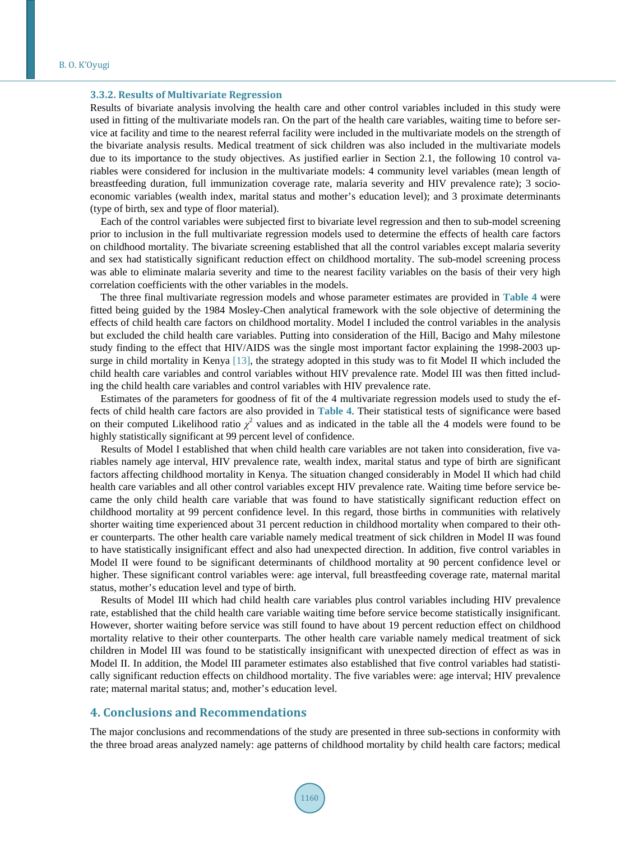#### **3.3.2. Results of Multivariate Regression**

Results of bivariate analysis involving the health care and other control variables included in this study were used in fitting of the multivariate models ran. On the part of the health care variables, waiting time to before service at facility and time to the nearest referral facility were included in the multivariate models on the strength of the bivariate analysis results. Medical treatment of sick children was also included in the multivariate models due to its importance to the study objectives. As justified earlier in Section 2.1, the following 10 control variables were considered for inclusion in the multivariate models: 4 community level variables (mean length of breastfeeding duration, full immunization coverage rate, malaria severity and HIV prevalence rate); 3 socioeconomic variables (wealth index, marital status and mother's education level); and 3 proximate determinants (type of birth, sex and type of floor material).

Each of the control variables were subjected first to bivariate level regression and then to sub-model screening prior to inclusion in the full multivariate regression models used to determine the effects of health care factors on childhood mortality. The bivariate screening established that all the control variables except malaria severity and sex had statistically significant reduction effect on childhood mortality. The sub-model screening process was able to eliminate malaria severity and time to the nearest facility variables on the basis of their very high correlation coefficients with the other variables in the models.

The three final multivariate regression models and whose parameter estimates are provided in **[Table 4](#page-9-0)** were fitted being guided by the 1984 Mosley-Chen analytical framework with the sole objective of determining the effects of child health care factors on childhood mortality. Model I included the control variables in the analysis but excluded the child health care variables. Putting into consideration of the Hill, Bacigo and Mahy milestone study finding to the effect that HIV/AIDS was the single most important factor explaining the 1998-2003 upsurge in child mortality in Kenya [\[13\],](#page-11-11) the strategy adopted in this study was to fit Model II which included the child health care variables and control variables without HIV prevalence rate. Model III was then fitted including the child health care variables and control variables with HIV prevalence rate.

Estimates of the parameters for goodness of fit of the 4 multivariate regression models used to study the effects of child health care factors are also provided in **[Table 4](#page-9-0)**. Their statistical tests of significance were based on their computed Likelihood ratio  $\chi^2$  values and as indicated in the table all the 4 models were found to be highly statistically significant at 99 percent level of confidence.

Results of Model I established that when child health care variables are not taken into consideration, five variables namely age interval, HIV prevalence rate, wealth index, marital status and type of birth are significant factors affecting childhood mortality in Kenya. The situation changed considerably in Model II which had child health care variables and all other control variables except HIV prevalence rate. Waiting time before service became the only child health care variable that was found to have statistically significant reduction effect on childhood mortality at 99 percent confidence level. In this regard, those births in communities with relatively shorter waiting time experienced about 31 percent reduction in childhood mortality when compared to their other counterparts. The other health care variable namely medical treatment of sick children in Model II was found to have statistically insignificant effect and also had unexpected direction. In addition, five control variables in Model II were found to be significant determinants of childhood mortality at 90 percent confidence level or higher. These significant control variables were: age interval, full breastfeeding coverage rate, maternal marital status, mother's education level and type of birth.

Results of Model III which had child health care variables plus control variables including HIV prevalence rate, established that the child health care variable waiting time before service become statistically insignificant. However, shorter waiting before service was still found to have about 19 percent reduction effect on childhood mortality relative to their other counterparts. The other health care variable namely medical treatment of sick children in Model III was found to be statistically insignificant with unexpected direction of effect as was in Model II. In addition, the Model III parameter estimates also established that five control variables had statistically significant reduction effects on childhood mortality. The five variables were: age interval; HIV prevalence rate; maternal marital status; and, mother's education level.

# **4. Conclusions and Recommendations**

The major conclusions and recommendations of the study are presented in three sub-sections in conformity with the three broad areas analyzed namely: age patterns of childhood mortality by child health care factors; medical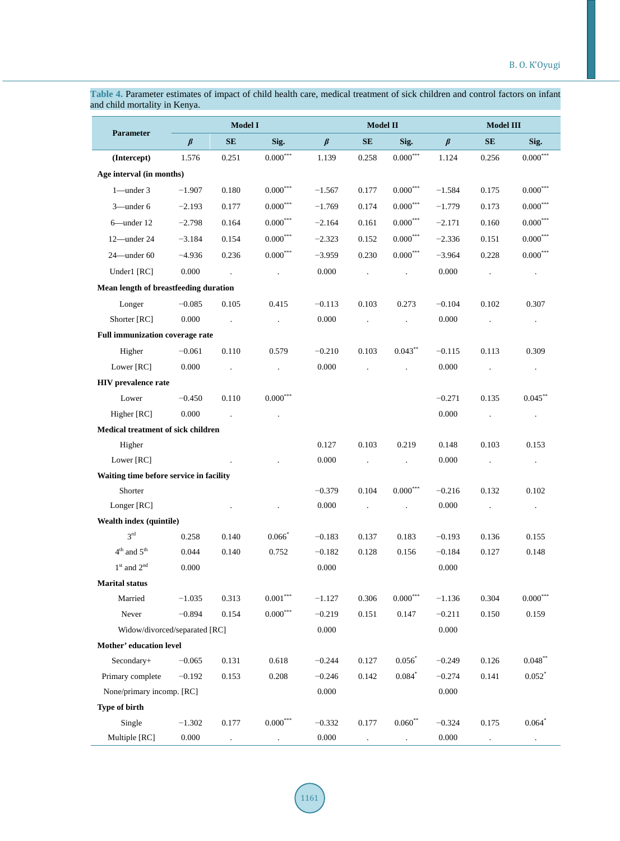| and child mortality in Kenya.              |               |                      |                             |          |                      |                        |               |                |                        |  |  |
|--------------------------------------------|---------------|----------------------|-----------------------------|----------|----------------------|------------------------|---------------|----------------|------------------------|--|--|
|                                            | Model I       |                      |                             |          | <b>Model II</b>      |                        |               |                | <b>Model III</b>       |  |  |
| <b>Parameter</b>                           | $\pmb{\beta}$ | <b>SE</b>            | Sig.                        | $\beta$  | SE                   | Sig.                   | $\pmb{\beta}$ | SE             | Sig.                   |  |  |
| (Intercept)                                | 1.576         | 0.251                | $0.000^{\ast\ast\ast}$      | 1.139    | 0.258                | $0.000^{***}\,$        | 1.124         | 0.256          | $0.000^{***}\,$        |  |  |
| Age interval (in months)                   |               |                      |                             |          |                      |                        |               |                |                        |  |  |
| $1$ —under 3                               | $-1.907$      | 0.180                | $0.000^{\ast\ast\ast}$      | $-1.567$ | 0.177                | $0.000^{***}\,$        | $-1.584$      | 0.175          | $0.000^{***}$          |  |  |
| 3-under 6                                  | $-2.193$      | 0.177                | $0.000^{\ast\ast\ast}$      | $-1.769$ | 0.174                | $0.000^{***}\,$        | $-1.779$      | 0.173          | $0.000^{***}$          |  |  |
| 6-under 12                                 | $-2.798$      | 0.164                | $0.000^{\ast\ast\ast}$      | $-2.164$ | 0.161                | $0.000^{\ast\ast\ast}$ | $-2.171$      | 0.160          | $0.000^{***}$          |  |  |
| 12-under 24                                | $-3.184$      | 0.154                | $0.000^{\ast\ast\ast}$      | $-2.323$ | 0.152                | $0.000^{***}\,$        | $-2.336$      | 0.151          | $0.000***$             |  |  |
| 24-under 60                                | $-4.936$      | 0.236                | $0.000^{\ast\ast\ast}$      | $-3.959$ | 0.230                | $0.000^{***}$          | $-3.964$      | 0.228          | $0.000^{\ast\ast\ast}$ |  |  |
| Under1 [RC]                                | 0.000         | $\sim$ $\sim$        | $\mathcal{L}^{\mathcal{L}}$ | 0.000    | $\sim$ $\sim$        | $\Box$                 | 0.000         | $\mathbb{Z}^2$ | $\blacksquare$         |  |  |
| Mean length of breastfeeding duration      |               |                      |                             |          |                      |                        |               |                |                        |  |  |
| Longer                                     | $-0.085$      | 0.105                | 0.415                       | $-0.113$ | 0.103                | 0.273                  | $-0.104$      | 0.102          | 0.307                  |  |  |
| Shorter [RC]                               | 0.000         | $\mathbf{r}$         | $\ddot{\phantom{a}}$        | 0.000    | $\ddot{\phantom{a}}$ | $\ddot{\phantom{0}}$   | 0.000         | $\cdot$        | $\cdot$                |  |  |
| Full immunization coverage rate            |               |                      |                             |          |                      |                        |               |                |                        |  |  |
| Higher                                     | $-0.061$      | 0.110                | 0.579                       | $-0.210$ | 0.103                | $0.043***$             | $-0.115$      | 0.113          | 0.309                  |  |  |
| Lower [RC]                                 | 0.000         | $\ddot{\phantom{a}}$ | $\ddot{\phantom{a}}$        | 0.000    | $\ddot{\phantom{a}}$ | $\ddot{\phantom{0}}$   | 0.000         | $\cdot$        | $\blacksquare$         |  |  |
| <b>HIV</b> prevalence rate                 |               |                      |                             |          |                      |                        |               |                |                        |  |  |
| Lower                                      | $-0.450$      | 0.110                | $0.000^{\ast\ast\ast}$      |          |                      |                        | $-0.271$      | 0.135          | $0.045***$             |  |  |
| Higher [RC]                                | 0.000         |                      |                             |          |                      |                        | 0.000         | $\cdot$        | $\cdot$                |  |  |
| Medical treatment of sick children         |               |                      |                             |          |                      |                        |               |                |                        |  |  |
| Higher                                     |               |                      |                             | 0.127    | 0.103                | 0.219                  | 0.148         | 0.103          | 0.153                  |  |  |
| Lower [RC]                                 |               |                      |                             | 0.000    | $\mathcal{A}$        | $\Box$                 | 0.000         | $\Box$         | $\blacksquare$         |  |  |
| Waiting time before service in facility    |               |                      |                             |          |                      |                        |               |                |                        |  |  |
| Shorter                                    |               |                      |                             | $-0.379$ | 0.104                | $0.000***$             | $-0.216$      | 0.132          | 0.102                  |  |  |
| Longer [RC]                                |               |                      | $\ddot{\phantom{0}}$        | 0.000    | $\sim$               | $\blacksquare$         | 0.000         | $\cdot$        | $\blacksquare$         |  |  |
| Wealth index (quintile)                    |               |                      |                             |          |                      |                        |               |                |                        |  |  |
| $3^{\text{rd}}$                            | 0.258         | 0.140                | $0.066*$                    | $-0.183$ | 0.137                | 0.183                  | $-0.193$      | 0.136          | 0.155                  |  |  |
| $4th$ and $5th$                            | 0.044         | 0.140                | 0.752                       | $-0.182$ | 0.128                | 0.156                  | $-0.184$      | 0.127          | 0.148                  |  |  |
| $1^{\rm st}$ and $2^{\rm nd}$              | 0.000         |                      |                             | 0.000    |                      |                        | 0.000         |                |                        |  |  |
| <b>Marital status</b>                      |               |                      |                             |          |                      |                        |               |                |                        |  |  |
| Married                                    | $-1.035$      | 0.313                | $0.001***$                  | $-1.127$ | 0.306                | $0.000^{***}$          | $-1.136$      | 0.304          | $0.000^{***}$          |  |  |
| Never                                      | $-0.894$      | 0.154                | $0.000^{\ast\ast\ast}$      | $-0.219$ | 0.151                | 0.147                  | $-0.211$      | 0.150          | 0.159                  |  |  |
| Widow/divorced/separated [RC]              |               |                      |                             | 0.000    |                      |                        | 0.000         |                |                        |  |  |
| Mother' education level                    |               |                      |                             |          |                      |                        |               |                |                        |  |  |
| Secondary+                                 | $-0.065$      | 0.131                | 0.618                       | $-0.244$ | 0.127                | $0.056*$               | $-0.249$      | 0.126          | $0.048**$              |  |  |
| Primary complete                           | $-0.192$      | 0.153                | 0.208                       | $-0.246$ | 0.142                | $0.084*$               | $-0.274$      | 0.141          | $0.052*$               |  |  |
| None/primary incomp. [RC]<br>Type of birth |               |                      |                             | 0.000    |                      |                        | 0.000         |                |                        |  |  |
| Single                                     | $-1.302$      | 0.177                | $0.000^{\ast\ast\ast}$      | $-0.332$ | 0.177                | $0.060**$              | $-0.324$      | 0.175          | $0.064*$               |  |  |
| Multiple [RC]                              | 0.000         |                      |                             | 0.000    |                      |                        | 0.000         |                |                        |  |  |

<span id="page-9-0"></span>**Table 4.** Parameter estimates of impact of child health care, medical treatment of sick children and control factors on infant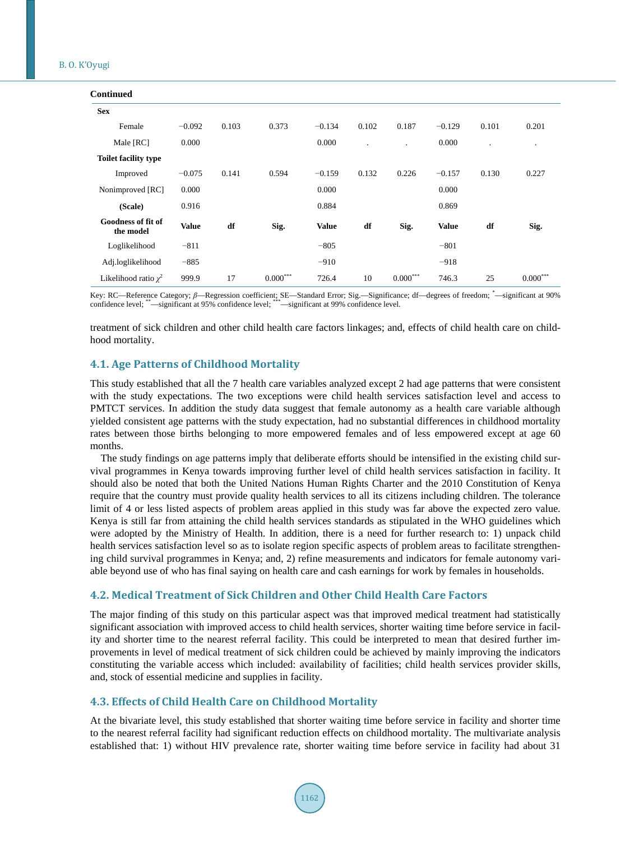#### B. O. K'Oyugi

| <b>Continued</b>                       |              |       |            |              |                      |            |              |                      |                 |
|----------------------------------------|--------------|-------|------------|--------------|----------------------|------------|--------------|----------------------|-----------------|
| <b>Sex</b>                             |              |       |            |              |                      |            |              |                      |                 |
| Female                                 | $-0.092$     | 0.103 | 0.373      | $-0.134$     | 0.102                | 0.187      | $-0.129$     | 0.101                | 0.201           |
| Male [RC]                              | 0.000        |       |            | 0.000        | $\ddot{\phantom{a}}$ |            | 0.000        | $\ddot{\phantom{a}}$ |                 |
| <b>Toilet facility type</b>            |              |       |            |              |                      |            |              |                      |                 |
| Improved                               | $-0.075$     | 0.141 | 0.594      | $-0.159$     | 0.132                | 0.226      | $-0.157$     | 0.130                | 0.227           |
| Nonimproved [RC]                       | 0.000        |       |            | 0.000        |                      |            | 0.000        |                      |                 |
| (Scale)                                | 0.916        |       |            | 0.884        |                      |            | 0.869        |                      |                 |
| <b>Goodness of fit of</b><br>the model | <b>Value</b> | df    | Sig.       | <b>Value</b> | df                   | Sig.       | <b>Value</b> | df                   | Sig.            |
| Loglikelihood                          | $-811$       |       |            | $-805$       |                      |            | $-801$       |                      |                 |
| Adj.loglikelihood                      | $-885$       |       |            | $-910$       |                      |            | $-918$       |                      |                 |
| Likelihood ratio $\chi^2$              | 999.9        | 17    | $0.000***$ | 726.4        | 10                   | $0.000***$ | 746.3        | 25                   | $0.000^{\circ}$ |

Key: RC—Reference Category; β—Regression coefficient; SE—Standard Error; Sig.—Significance; df—degrees of freedom; \*—significant at 90% confidence level; \*\*—significant at 95% confidence level; \*\*\*—significant at 99% confidence level.

treatment of sick children and other child health care factors linkages; and, effects of child health care on childhood mortality.

# **4.1. Age Patterns of Childhood Mortality**

This study established that all the 7 health care variables analyzed except 2 had age patterns that were consistent with the study expectations. The two exceptions were child health services satisfaction level and access to PMTCT services. In addition the study data suggest that female autonomy as a health care variable although yielded consistent age patterns with the study expectation, had no substantial differences in childhood mortality rates between those births belonging to more empowered females and of less empowered except at age 60 months.

The study findings on age patterns imply that deliberate efforts should be intensified in the existing child survival programmes in Kenya towards improving further level of child health services satisfaction in facility. It should also be noted that both the United Nations Human Rights Charter and the 2010 Constitution of Kenya require that the country must provide quality health services to all its citizens including children. The tolerance limit of 4 or less listed aspects of problem areas applied in this study was far above the expected zero value. Kenya is still far from attaining the child health services standards as stipulated in the WHO guidelines which were adopted by the Ministry of Health. In addition, there is a need for further research to: 1) unpack child health services satisfaction level so as to isolate region specific aspects of problem areas to facilitate strengthening child survival programmes in Kenya; and, 2) refine measurements and indicators for female autonomy variable beyond use of who has final saying on health care and cash earnings for work by females in households.

# **4.2. Medical Treatment of Sick Children and Other Child Health Care Factors**

The major finding of this study on this particular aspect was that improved medical treatment had statistically significant association with improved access to child health services, shorter waiting time before service in facility and shorter time to the nearest referral facility. This could be interpreted to mean that desired further improvements in level of medical treatment of sick children could be achieved by mainly improving the indicators constituting the variable access which included: availability of facilities; child health services provider skills, and, stock of essential medicine and supplies in facility.

## **4.3. Effects of Child Health Care on Childhood Mortality**

At the bivariate level, this study established that shorter waiting time before service in facility and shorter time to the nearest referral facility had significant reduction effects on childhood mortality. The multivariate analysis established that: 1) without HIV prevalence rate, shorter waiting time before service in facility had about 31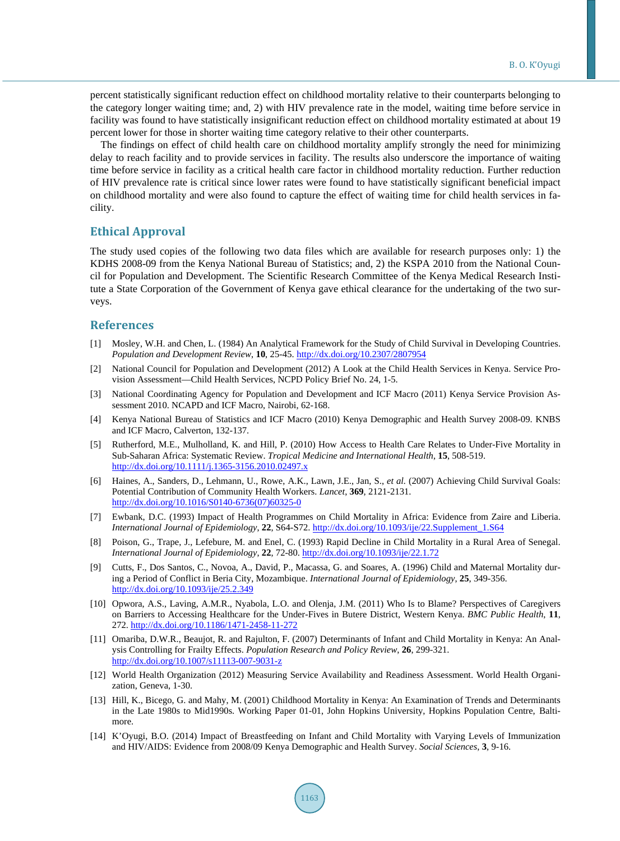percent statistically significant reduction effect on childhood mortality relative to their counterparts belonging to the category longer waiting time; and, 2) with HIV prevalence rate in the model, waiting time before service in facility was found to have statistically insignificant reduction effect on childhood mortality estimated at about 19 percent lower for those in shorter waiting time category relative to their other counterparts.

The findings on effect of child health care on childhood mortality amplify strongly the need for minimizing delay to reach facility and to provide services in facility. The results also underscore the importance of waiting time before service in facility as a critical health care factor in childhood mortality reduction. Further reduction of HIV prevalence rate is critical since lower rates were found to have statistically significant beneficial impact on childhood mortality and were also found to capture the effect of waiting time for child health services in facility.

# **Ethical Approval**

The study used copies of the following two data files which are available for research purposes only: 1) the KDHS 2008-09 from the Kenya National Bureau of Statistics; and, 2) the KSPA 2010 from the National Council for Population and Development. The Scientific Research Committee of the Kenya Medical Research Institute a State Corporation of the Government of Kenya gave ethical clearance for the undertaking of the two surveys.

# **References**

- <span id="page-11-0"></span>[1] Mosley, W.H. and Chen, L. (1984) An Analytical Framework for the Study of Child Survival in Developing Countries. *Population and Development Review*, **10**, 25-45. <http://dx.doi.org/10.2307/2807954>
- <span id="page-11-1"></span>[2] National Council for Population and Development (2012) A Look at the Child Health Services in Kenya. Service Provision Assessment—Child Health Services, NCPD Policy Brief No. 24, 1-5.
- <span id="page-11-2"></span>[3] National Coordinating Agency for Population and Development and ICF Macro (2011) Kenya Service Provision Assessment 2010. NCAPD and ICF Macro, Nairobi, 62-168.
- <span id="page-11-3"></span>[4] Kenya National Bureau of Statistics and ICF Macro (2010) Kenya Demographic and Health Survey 2008-09. KNBS and ICF Macro, Calverton, 132-137.
- <span id="page-11-4"></span>[5] Rutherford, M.E., Mulholland, K. and Hill, P. (2010) How Access to Health Care Relates to Under-Five Mortality in Sub-Saharan Africa: Systematic Review. *Tropical Medicine and International Health*, **15**, 508-519. <http://dx.doi.org/10.1111/j.1365-3156.2010.02497.x>
- <span id="page-11-5"></span>[6] Haines, A., Sanders, D., Lehmann, U., Rowe, A.K., Lawn, J.E., Jan, S., *et al.* (2007) Achieving Child Survival Goals: Potential Contribution of Community Health Workers. *Lancet*, **369**, 2121-2131. [http://dx.doi.org/10.1016/S0140-6736\(07\)60325-0](http://dx.doi.org/10.1016/S0140-6736(07)60325-0)
- <span id="page-11-6"></span>[7] Ewbank, D.C. (1993) Impact of Health Programmes on Child Mortality in Africa: Evidence from Zaire and Liberia. *International Journal of Epidemiology*, **22**, S64-S72. [http://dx.doi.org/10.1093/ije/22.Supplement\\_1.S64](http://dx.doi.org/10.1093/ije/22.Supplement_1.S64)
- [8] Poison, G., Trape, J., Lefebure, M. and Enel, C. (1993) Rapid Decline in Child Mortality in a Rural Area of Senegal. *International Journal of Epidemiology*, **22**, 72-80[. http://dx.doi.org/10.1093/ije/22.1.72](http://dx.doi.org/10.1093/ije/22.1.72)
- <span id="page-11-7"></span>[9] Cutts, F., Dos Santos, C., Novoa, A., David, P., Macassa, G. and Soares, A. (1996) Child and Maternal Mortality during a Period of Conflict in Beria City, Mozambique. *International Journal of Epidemiology*, **25**, 349-356. <http://dx.doi.org/10.1093/ije/25.2.349>
- <span id="page-11-8"></span>[10] Opwora, A.S., Laving, A.M.R., Nyabola, L.O. and Olenja, J.M. (2011) Who Is to Blame? Perspectives of Caregivers on Barriers to Accessing Healthcare for the Under-Fives in Butere District, Western Kenya. *BMC Public Health*, **11**, 272[. http://dx.doi.org/10.1186/1471-2458-11-272](http://dx.doi.org/10.1186/1471-2458-11-272)
- <span id="page-11-9"></span>[11] Omariba, D.W.R., Beaujot, R. and Rajulton, F. (2007) Determinants of Infant and Child Mortality in Kenya: An Analysis Controlling for Frailty Effects. *Population Research and Policy Review*, **26**, 299-321. <http://dx.doi.org/10.1007/s11113-007-9031-z>
- <span id="page-11-10"></span>[12] World Health Organization (2012) Measuring Service Availability and Readiness Assessment. World Health Organization, Geneva, 1-30.
- <span id="page-11-11"></span>[13] Hill, K., Bicego, G. and Mahy, M. (2001) Childhood Mortality in Kenya: An Examination of Trends and Determinants in the Late 1980s to Mid1990s. Working Paper 01-01, John Hopkins University, Hopkins Population Centre, Baltimore.
- <span id="page-11-12"></span>[14] K'Oyugi, B.O. (2014) Impact of Breastfeeding on Infant and Child Mortality with Varying Levels of Immunization and HIV/AIDS: Evidence from 2008/09 Kenya Demographic and Health Survey. *Social Sciences*, **3**, 9-16.